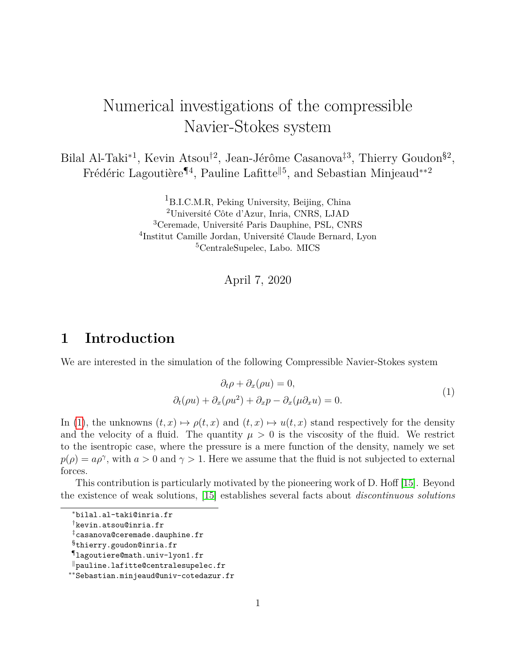# Numerical investigations of the compressible Navier-Stokes system

Bilal Al-Taki<sup>\*1</sup>, Kevin Atsou<sup>†2</sup>, Jean-Jérôme Casanova<sup>‡3</sup>, Thierry Goudon<sup>§2</sup>, Frédéric Lagoutière<sup>¶4</sup>, Pauline Lafitte<sup>||5</sup>, and Sebastian Minjeaud<sup>∗∗2</sup>

> <sup>1</sup>B.I.C.M.R, Peking University, Beijing, China Université Côte d'Azur, Inria, CNRS, LJAD Ceremade, Université Paris Dauphine, PSL, CNRS Institut Camille Jordan, Université Claude Bernard, Lyon CentraleSupelec, Labo. MICS

> > April 7, 2020

## **1 Introduction**

We are interested in the simulation of the following Compressible Navier-Stokes system

<span id="page-0-0"></span>
$$
\partial_t \rho + \partial_x(\rho u) = 0,
$$
  
\n
$$
\partial_t(\rho u) + \partial_x(\rho u^2) + \partial_x p - \partial_x(\mu \partial_x u) = 0.
$$
\n(1)

In [\(1\)](#page-0-0), the unknowns  $(t, x) \mapsto \rho(t, x)$  and  $(t, x) \mapsto u(t, x)$  stand respectively for the density and the velocity of a fluid. The quantity  $\mu > 0$  is the viscosity of the fluid. We restrict to the isentropic case, where the pressure is a mere function of the density, namely we set  $p(\rho) = a\rho^{\gamma}$ , with  $a > 0$  and  $\gamma > 1$ . Here we assume that the fluid is not subjected to external forces.

This contribution is particularly motivated by the pioneering work of D. Hoff [\[15\]](#page-15-0). Beyond the existence of weak solutions, [\[15\]](#page-15-0) establishes several facts about *discontinuous solutions*

<sup>∗</sup>bilal.al-taki@inria.fr

<sup>†</sup>kevin.atsou@inria.fr

<sup>‡</sup>casanova@ceremade.dauphine.fr

<sup>§</sup>thierry.goudon@inria.fr

<sup>¶</sup>lagoutiere@math.univ-lyon1.fr

 $\mathbb I$  pauline.lafitte@centralesupelec.fr

<sup>∗∗</sup>Sebastian.minjeaud@univ-cotedazur.fr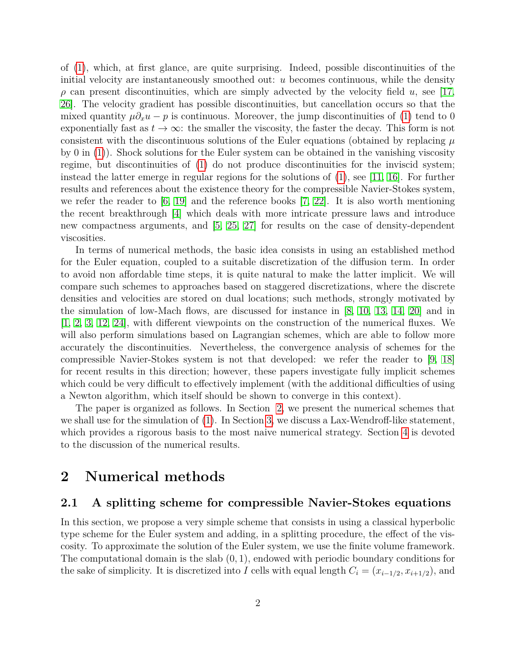of [\(1\)](#page-0-0), which, at first glance, are quite surprising. Indeed, possible discontinuities of the initial velocity are instantaneously smoothed out: *u* becomes continuous, while the density  $\rho$  can present discontinuities, which are simply advected by the velocity field *u*, see [\[17,](#page-15-1) [26\]](#page-15-2). The velocity gradient has possible discontinuities, but cancellation occurs so that the mixed quantity  $\mu \partial_x u - p$  is continuous. Moreover, the jump discontinuities of [\(1\)](#page-0-0) tend to 0 exponentially fast as  $t \to \infty$ : the smaller the viscosity, the faster the decay. This form is not consistent with the discontinuous solutions of the Euler equations (obtained by replacing *µ* by 0 in [\(1\)](#page-0-0)). Shock solutions for the Euler system can be obtained in the vanishing viscosity regime, but discontinuities of [\(1\)](#page-0-0) do not produce discontinuities for the inviscid system; instead the latter emerge in regular regions for the solutions of  $(1)$ , see [\[11,](#page-14-0) [16\]](#page-15-3). For further results and references about the existence theory for the compressible Navier-Stokes system, we refer the reader to  $[6, 19]$  $[6, 19]$  and the reference books  $[7, 22]$  $[7, 22]$ . It is also worth mentioning the recent breakthrough [\[4\]](#page-14-3) which deals with more intricate pressure laws and introduce new compactness arguments, and [\[5,](#page-14-4) [25,](#page-15-6) [27\]](#page-16-0) for results on the case of density-dependent viscosities.

In terms of numerical methods, the basic idea consists in using an established method for the Euler equation, coupled to a suitable discretization of the diffusion term. In order to avoid non affordable time steps, it is quite natural to make the latter implicit. We will compare such schemes to approaches based on staggered discretizations, where the discrete densities and velocities are stored on dual locations; such methods, strongly motivated by the simulation of low-Mach flows, are discussed for instance in [\[8,](#page-14-5) [10,](#page-14-6) [13,](#page-15-7) [14,](#page-15-8) [20\]](#page-15-9) and in [\[1,](#page-13-0) [2,](#page-14-7) [3,](#page-14-8) [12,](#page-14-9) [24\]](#page-15-10), with different viewpoints on the construction of the numerical fluxes. We will also perform simulations based on Lagrangian schemes, which are able to follow more accurately the discontinuities. Nevertheless, the convergence analysis of schemes for the compressible Navier-Stokes system is not that developed: we refer the reader to [\[9,](#page-14-10) [18\]](#page-15-11) for recent results in this direction; however, these papers investigate fully implicit schemes which could be very difficult to effectively implement (with the additional difficulties of using a Newton algorithm, which itself should be shown to converge in this context).

The paper is organized as follows. In Section [2,](#page-1-0) we present the numerical schemes that we shall use for the simulation of [\(1\)](#page-0-0). In Section [3,](#page-6-0) we discuss a Lax-Wendroff-like statement, which provides a rigorous basis to the most naive numerical strategy. Section [4](#page-9-0) is devoted to the discussion of the numerical results.

### <span id="page-1-0"></span>**2 Numerical methods**

#### <span id="page-1-1"></span>**2.1 A splitting scheme for compressible Navier-Stokes equations**

In this section, we propose a very simple scheme that consists in using a classical hyperbolic type scheme for the Euler system and adding, in a splitting procedure, the effect of the viscosity. To approximate the solution of the Euler system, we use the finite volume framework. The computational domain is the slab (0*,* 1), endowed with periodic boundary conditions for the sake of simplicity. It is discretized into *I* cells with equal length  $C_i = (x_{i-1/2}, x_{i+1/2})$ , and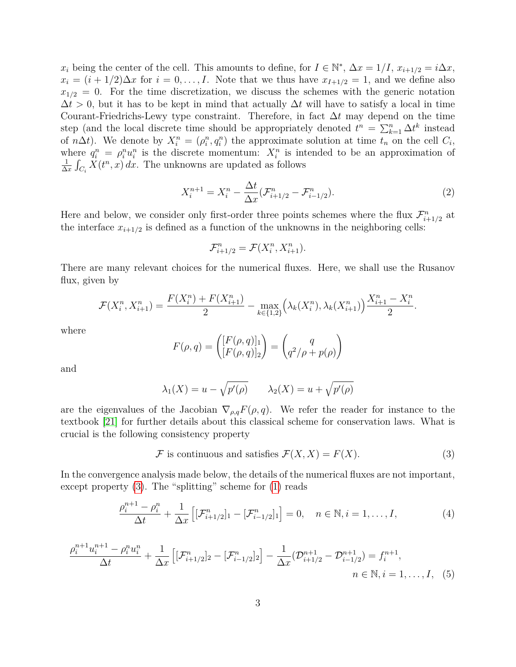$x_i$  being the center of the cell. This amounts to define, for  $I \in \mathbb{N}^*$ ,  $\Delta x = 1/I$ ,  $x_{i+1/2} = i\Delta x$ ,  $x_i = (i + 1/2)\Delta x$  for  $i = 0, \ldots, I$ . Note that we thus have  $x_{I+1/2} = 1$ , and we define also  $x_{1/2} = 0$ . For the time discretization, we discuss the schemes with the generic notation  $\Delta t > 0$ , but it has to be kept in mind that actually  $\Delta t$  will have to satisfy a local in time Courant-Friedrichs-Lewy type constraint. Therefore, in fact ∆*t* may depend on the time step (and the local discrete time should be appropriately denoted  $t^n = \sum_{k=1}^n \Delta t^k$  instead of *n* $\Delta t$ ). We denote by  $X_i^n = (\rho_i^n, q_i^n)$  the approximate solution at time  $t_n$  on the cell  $C_i$ , where  $q_i^n = \rho_i^n u_i^n$  is the discrete momentum:  $X_i^n$  is intended to be an approximation of 1  $\frac{1}{\Delta x} \int_{C_i} X(t^n, x) dx$ . The unknowns are updated as follows

$$
X_i^{n+1} = X_i^n - \frac{\Delta t}{\Delta x} (\mathcal{F}_{i+1/2}^n - \mathcal{F}_{i-1/2}^n). \tag{2}
$$

Here and below, we consider only first-order three points schemes where the flux  $\mathcal{F}_{i+1/2}^n$  at the interface  $x_{i+1/2}$  is defined as a function of the unknowns in the neighboring cells:

$$
\mathcal{F}_{i+1/2}^n = \mathcal{F}(X_i^n, X_{i+1}^n).
$$

There are many relevant choices for the numerical fluxes. Here, we shall use the Rusanov flux, given by

$$
\mathcal{F}(X_i^n, X_{i+1}^n) = \frac{F(X_i^n) + F(X_{i+1}^n)}{2} - \max_{k \in \{1,2\}} \left(\lambda_k(X_i^n), \lambda_k(X_{i+1}^n)\right) \frac{X_{i+1}^n - X_i^n}{2}.
$$

where

$$
F(\rho, q) = \begin{pmatrix} [F(\rho, q)]_1 \\ [F(\rho, q)]_2 \end{pmatrix} = \begin{pmatrix} q \\ q^2/\rho + p(\rho) \end{pmatrix}
$$

and

$$
\lambda_1(X) = u - \sqrt{p'(\rho)} \qquad \lambda_2(X) = u + \sqrt{p'(\rho)}
$$

are the eigenvalues of the Jacobian  $\nabla_{\rho,q}F(\rho,q)$ . We refer the reader for instance to the textbook [\[21\]](#page-15-12) for further details about this classical scheme for conservation laws. What is crucial is the following consistency property

<span id="page-2-1"></span><span id="page-2-0"></span>
$$
\mathcal{F} \text{ is continuous and satisfies } \mathcal{F}(X, X) = F(X). \tag{3}
$$

In the convergence analysis made below, the details of the numerical fluxes are not important, except property [\(3\)](#page-2-0). The "splitting" scheme for [\(1\)](#page-0-0) reads

<span id="page-2-2"></span>
$$
\frac{\rho_i^{n+1} - \rho_i^n}{\Delta t} + \frac{1}{\Delta x} \left[ [\mathcal{F}_{i+1/2}^n]_1 - [\mathcal{F}_{i-1/2}^n]_1 \right] = 0, \quad n \in \mathbb{N}, i = 1, \dots, I,
$$
\n(4)

$$
\frac{\rho_i^{n+1}u_i^{n+1} - \rho_i^n u_i^n}{\Delta t} + \frac{1}{\Delta x} \left[ [\mathcal{F}_{i+1/2}^n]_2 - [\mathcal{F}_{i-1/2}^n]_2 \right] - \frac{1}{\Delta x} (\mathcal{D}_{i+1/2}^{n+1} - \mathcal{D}_{i-1/2}^{n+1}) = f_i^{n+1},
$$
\n
$$
n \in \mathbb{N}, i = 1, \dots, I, \quad (5)
$$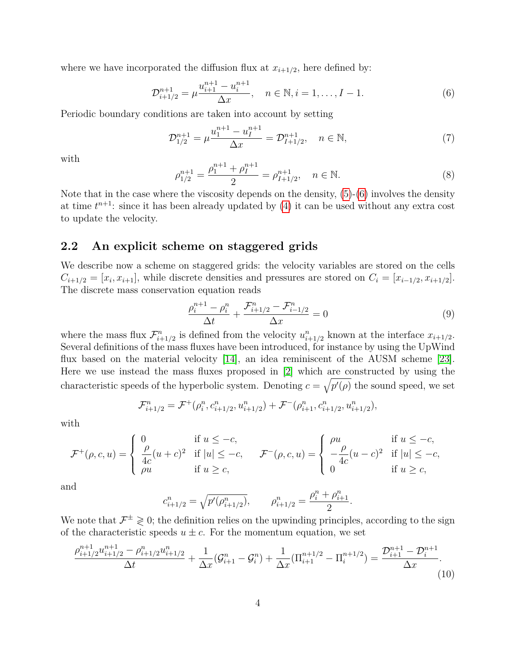where we have incorporated the diffusion flux at  $x_{i+1/2}$ , here defined by:

<span id="page-3-0"></span>
$$
\mathcal{D}_{i+1/2}^{n+1} = \mu \frac{u_{i+1}^{n+1} - u_i^{n+1}}{\Delta x}, \quad n \in \mathbb{N}, i = 1, \dots, I-1.
$$
 (6)

Periodic boundary conditions are taken into account by setting

$$
\mathcal{D}_{1/2}^{n+1} = \mu \frac{u_1^{n+1} - u_I^{n+1}}{\Delta x} = \mathcal{D}_{I+1/2}^{n+1}, \quad n \in \mathbb{N},\tag{7}
$$

with

$$
\rho_{1/2}^{n+1} = \frac{\rho_1^{n+1} + \rho_I^{n+1}}{2} = \rho_{I+1/2}^{n+1}, \quad n \in \mathbb{N}.
$$
\n(8)

Note that in the case where the viscosity depends on the density, [\(5\)](#page-2-1)-[\(6\)](#page-3-0) involves the density at time  $t^{n+1}$ : since it has been already updated by  $(4)$  it can be used without any extra cost to update the velocity.

#### <span id="page-3-3"></span>**2.2 An explicit scheme on staggered grids**

We describe now a scheme on staggered grids: the velocity variables are stored on the cells  $C_{i+1/2} = [x_i, x_{i+1}]$ , while discrete densities and pressures are stored on  $C_i = [x_{i-1/2}, x_{i+1/2}]$ . The discrete mass conservation equation reads

$$
\frac{\rho_i^{n+1} - \rho_i^n}{\Delta t} + \frac{\mathcal{F}_{i+1/2}^n - \mathcal{F}_{i-1/2}^n}{\Delta x} = 0
$$
\n(9)

<span id="page-3-2"></span><span id="page-3-1"></span>*.*

where the mass flux  $\mathcal{F}_{i+1/2}^n$  is defined from the velocity  $u_{i+1/2}^n$  known at the interface  $x_{i+1/2}$ . Several definitions of the mass fluxes have been introduced, for instance by using the UpWind flux based on the material velocity [\[14\]](#page-15-8), an idea reminiscent of the AUSM scheme [\[23\]](#page-15-13). Here we use instead the mass fluxes proposed in [\[2\]](#page-14-7) which are constructed by using the characteristic speeds of the hyperbolic system. Denoting  $c = \sqrt{p'(\rho)}$  the sound speed, we set

$$
\mathcal{F}_{i+1/2}^n = \mathcal{F}^+(\rho_i^n, c_{i+1/2}^n, u_{i+1/2}^n) + \mathcal{F}^-(\rho_{i+1}^n, c_{i+1/2}^n, u_{i+1/2}^n),
$$

with

$$
\mathcal{F}^+(\rho,c,u) = \begin{cases} 0 & \text{if } u \leq -c, \\ \frac{\rho}{4c}(u+c)^2 & \text{if } |u| \leq -c, \\ \rho u & \text{if } u \geq c, \end{cases} \qquad \mathcal{F}^-(\rho,c,u) = \begin{cases} \rho u & \text{if } u \leq -c, \\ -\frac{\rho}{4c}(u-c)^2 & \text{if } |u| \leq -c, \\ 0 & \text{if } u \geq c, \end{cases}
$$

and

$$
c_{i+1/2}^n = \sqrt{p'(\rho_{i+1/2}^n)}, \qquad \rho_{i+1/2}^n = \frac{\rho_i^n + \rho_{i+1}^n}{2}
$$

We note that  $\mathcal{F}^{\pm} \geqslant 0$ ; the definition relies on the upwinding principles, according to the sign of the characteristic speeds  $u \pm c$ . For the momentum equation, we set

$$
\frac{\rho_{i+1/2}^{n+1}u_{i+1/2}^{n+1} - \rho_{i+1/2}^n u_{i+1/2}^n}{\Delta t} + \frac{1}{\Delta x}(\mathcal{G}_{i+1}^n - \mathcal{G}_i^n) + \frac{1}{\Delta x}(\Pi_{i+1}^{n+1/2} - \Pi_i^{n+1/2}) = \frac{\mathcal{D}_{i+1}^{n+1} - \mathcal{D}_i^{n+1}}{\Delta x}.
$$
\n(10)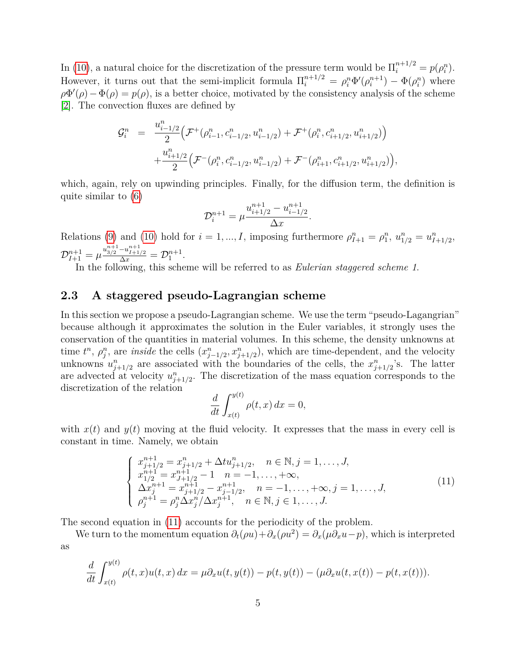In [\(10\)](#page-3-1), a natural choice for the discretization of the pressure term would be  $\prod_{i=1}^{n+1/2} = p(\rho_i^n)$ . However, it turns out that the semi-implicit formula  $\Pi_i^{n+1/2} = \rho_i^n \Phi'(\rho_i^{n+1}) - \Phi(\rho_i^n)$  where  $\rho \Phi'(\rho) - \Phi(\rho) = p(\rho)$ , is a better choice, motivated by the consistency analysis of the scheme [\[2\]](#page-14-7). The convection fluxes are defined by

$$
\mathcal{G}_{i}^{n} = \frac{u_{i-1/2}^{n}}{2} \Big( \mathcal{F}^{+}(\rho_{i-1}^{n}, c_{i-1/2}^{n}, u_{i-1/2}^{n}) + \mathcal{F}^{+}(\rho_{i}^{n}, c_{i+1/2}^{n}, u_{i+1/2}^{n}) \Big) + \frac{u_{i+1/2}^{n}}{2} \Big( \mathcal{F}^{-}(\rho_{i}^{n}, c_{i-1/2}^{n}, u_{i-1/2}^{n}) + \mathcal{F}^{-}(\rho_{i+1}^{n}, c_{i+1/2}^{n}, u_{i+1/2}^{n}) \Big),
$$

which, again, rely on upwinding principles. Finally, for the diffusion term, the definition is quite similar to [\(6\)](#page-3-0)

$$
\mathcal{D}_{i}^{n+1} = \mu \frac{u_{i+1/2}^{n+1} - u_{i-1/2}^{n+1}}{\Delta x}.
$$

Relations [\(9\)](#page-3-2) and [\(10\)](#page-3-1) hold for  $i = 1, ..., I$ , imposing furthermore  $\rho_{I+1}^n = \rho_1^n$ ,  $u_{1/2}^n = u_{I+1/2}^n$ ,  $\mathcal{D}_{I+1}^{n+1} = \mu \frac{u_{3/2}^{n+1} - u_{I+1/2}^{n+1}}{\Delta x} = \mathcal{D}_1^{n+1}.$ 

In the following, this scheme will be referred to as *Eulerian staggered scheme 1*.

#### <span id="page-4-1"></span>**2.3 A staggered pseudo-Lagrangian scheme**

In this section we propose a pseudo-Lagrangian scheme. We use the term "pseudo-Lagangrian" because although it approximates the solution in the Euler variables, it strongly uses the conservation of the quantities in material volumes. In this scheme, the density unknowns at time  $t^n$ ,  $\rho_j^n$ , are *inside* the cells  $(x_{j-1/2}^n, x_{j+1/2}^n)$ , which are time-dependent, and the velocity unknowns  $u_{j+1/2}^n$  are associated with the boundaries of the cells, the  $x_{j+1/2}^n$ 's. The latter are advected at velocity  $u_{j+1/2}^n$ . The discretization of the mass equation corresponds to the discretization of the relation

$$
\frac{d}{dt} \int_{x(t)}^{y(t)} \rho(t, x) dx = 0,
$$

with  $x(t)$  and  $y(t)$  moving at the fluid velocity. It expresses that the mass in every cell is constant in time. Namely, we obtain

<span id="page-4-0"></span>
$$
\begin{cases}\nx_{j+1/2}^{n+1} = x_{j+1/2}^n + \Delta t u_{j+1/2}^n, & n \in \mathbb{N}, j = 1, \dots, J, \\
x_{1/2}^{n+1} = x_{J+1/2}^{n+1} - 1, & n = -1, \dots, +\infty, \\
\Delta x_j^{n+1} = x_{j+1/2}^{n+1} - x_{j-1/2}^{n+1}, & n = -1, \dots, +\infty, j = 1, \dots, J, \\
\rho_j^{n+1} = \rho_j^n \Delta x_j^n / \Delta x_j^{n+1}, & n \in \mathbb{N}, j \in 1, \dots, J.\n\end{cases} (11)
$$

The second equation in [\(11\)](#page-4-0) accounts for the periodicity of the problem.

We turn to the momentum equation  $\partial_t(\rho u) + \partial_x(\rho u^2) = \partial_x(\mu \partial_x u - p)$ , which is interpreted as

$$
\frac{d}{dt} \int_{x(t)}^{y(t)} \rho(t,x)u(t,x) dx = \mu \partial_x u(t,y(t)) - p(t,y(t)) - (\mu \partial_x u(t,x(t)) - p(t,x(t))).
$$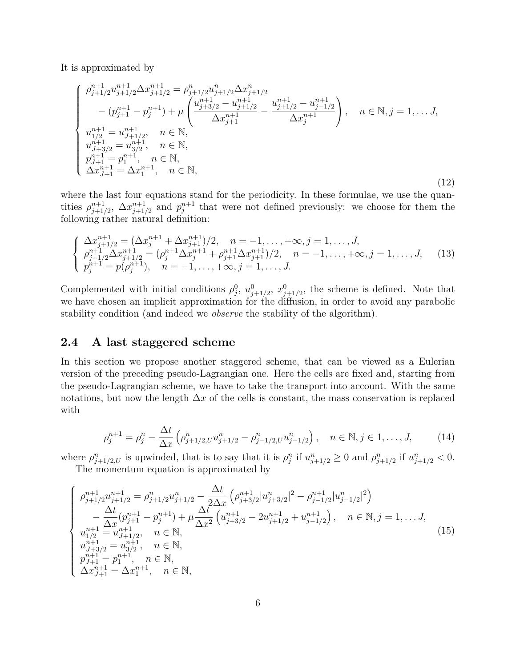It is approximated by

$$
\begin{cases}\n\rho_{j+1/2}^{n+1}u_{j+1/2}^{n+1}\Delta x_{j+1/2}^{n+1} = \rho_{j+1/2}^{n}u_{j+1/2}^{n}\Delta x_{j+1/2}^{n} \\
-(p_{j+1}^{n+1} - p_{j}^{n+1}) + \mu \left(\frac{u_{j+3/2}^{n+1} - u_{j+1/2}^{n+1}}{\Delta x_{j+1}^{n+1}} - \frac{u_{j+1/2}^{n+1} - u_{j-1/2}^{n+1}}{\Delta x_{j}^{n+1}}\right), & n \in \mathbb{N}, j = 1, \dots, J, \\
u_{1/2}^{n+1} = u_{J+1/2}^{n+1}, & n \in \mathbb{N}, \\
u_{J+3/2}^{n+1} = u_{3/2}^{n+1}, & n \in \mathbb{N}, \\
p_{J+1}^{n+1} = p_{1}^{n+1}, & n \in \mathbb{N}, \\
\Delta x_{J+1}^{n+1} = \Delta x_{1}^{n+1}, & n \in \mathbb{N},\n\end{cases}
$$
\n(12)

where the last four equations stand for the periodicity. In these formulae, we use the quantities  $\rho_{i+1}^{n+1}$  $\sum_{j+1/2}^{n+1} \Delta x_{j+1}^{n+1}$  $p_{j+1/2}^{n+1}$  and  $p_j^{n+1}$  that were not defined previously: we choose for them the following rather natural definition:

$$
\begin{cases}\n\Delta x_{j+1/2}^{n+1} = (\Delta x_j^{n+1} + \Delta x_{j+1}^{n+1})/2, & n = -1, ..., +\infty, j = 1, ..., J, \\
\rho_{j+1/2}^{n+1} \Delta x_{j+1/2}^{n+1} = (\rho_j^{n+1} \Delta x_j^{n+1} + \rho_{j+1}^{n+1} \Delta x_{j+1}^{n+1})/2, & n = -1, ..., +\infty, j = 1, ..., J, \\
p_j^{n+1} = p(\rho_j^{n+1}), & n = -1, ..., +\infty, j = 1, ..., J.\n\end{cases}
$$
\n(13)

Complemented with initial conditions  $\rho_j^0$ ,  $u_{j+1/2}^0$ ,  $x_{j+1/2}^0$ , the scheme is defined. Note that we have chosen an implicit approximation for the diffusion, in order to avoid any parabolic stability condition (and indeed we *observe* the stability of the algorithm).

#### <span id="page-5-0"></span>**2.4 A last staggered scheme**

In this section we propose another staggered scheme, that can be viewed as a Eulerian version of the preceding pseudo-Lagrangian one. Here the cells are fixed and, starting from the pseudo-Lagrangian scheme, we have to take the transport into account. With the same notations, but now the length  $\Delta x$  of the cells is constant, the mass conservation is replaced with

$$
\rho_j^{n+1} = \rho_j^n - \frac{\Delta t}{\Delta x} \left( \rho_{j+1/2,U}^n u_{j+1/2}^n - \rho_{j-1/2,U}^n u_{j-1/2}^n \right), \quad n \in \mathbb{N}, j \in 1, \dots, J,
$$
 (14)

where  $\rho_{j+1/2,U}^n$  is upwinded, that is to say that it is  $\rho_j^n$  if  $u_{j+1/2}^n \geq 0$  and  $\rho_{j+1/2}^n$  if  $u_{j+1/2}^n < 0$ . The momentum equation is approximated by

$$
\begin{cases}\n\rho_{j+1/2}^{n+1}u_{j+1/2}^{n+1} = \rho_{j+1/2}^{n}u_{j+1/2}^{n} - \frac{\Delta t}{2\Delta x}\left(\rho_{j+3/2}^{n+1}|u_{j+3/2}^{n}|^{2} - \rho_{j-1/2}^{n+1}|u_{j-1/2}^{n}|^{2}\right) \\
-\frac{\Delta t}{\Delta x}\left(p_{j+1}^{n+1} - p_{j}^{n+1}\right) + \mu \frac{\Delta t}{\Delta x^{2}}\left(u_{j+3/2}^{n+1} - 2u_{j+1/2}^{n+1} + u_{j-1/2}^{n+1}\right), \quad n \in \mathbb{N}, j = 1, \dots J, \\
u_{1/2}^{n+1} = u_{J+1/2}^{n+1}, \quad n \in \mathbb{N}, \\
u_{J+3/2}^{n+1} = u_{3/2}^{n+1}, \quad n \in \mathbb{N}, \\
p_{J+1}^{n+1} = p_{1}^{n+1}, \quad n \in \mathbb{N}, \\
\Delta x_{J+1}^{n+1} = \Delta x_{1}^{n+1}, \quad n \in \mathbb{N},\n\end{cases}\n\tag{15}
$$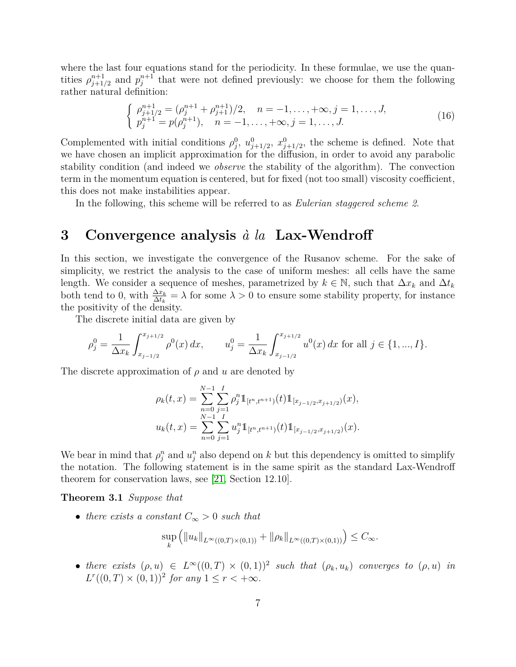where the last four equations stand for the periodicity. In these formulae, we use the quantities  $\rho_{i+1}^{n+1}$  $j_{j+1/2}^{n+1}$  and  $p_j^{n+1}$  that were not defined previously: we choose for them the following rather natural definition:

$$
\begin{cases}\n\rho_{j+1/2}^{n+1} = (\rho_j^{n+1} + \rho_{j+1}^{n+1})/2, & n = -1, \dots, +\infty, j = 1, \dots, J, \\
p_j^{n+1} = p(\rho_j^{n+1}), & n = -1, \dots, +\infty, j = 1, \dots, J.\n\end{cases}
$$
\n(16)

Complemented with initial conditions  $\rho_j^0$ ,  $u_{j+1/2}^0$ ,  $x_{j+1/2}^0$ , the scheme is defined. Note that we have chosen an implicit approximation for the diffusion, in order to avoid any parabolic stability condition (and indeed we *observe* the stability of the algorithm). The convection term in the momentum equation is centered, but for fixed (not too small) viscosity coefficient, this does not make instabilities appear.

In the following, this scheme will be referred to as *Eulerian staggered scheme 2*.

### <span id="page-6-0"></span>**3 Convergence analysis** *à la* **Lax-Wendroff**

In this section, we investigate the convergence of the Rusanov scheme. For the sake of simplicity, we restrict the analysis to the case of uniform meshes: all cells have the same length. We consider a sequence of meshes, parametrized by  $k \in \mathbb{N}$ , such that  $\Delta x_k$  and  $\Delta t_k$ both tend to 0, with  $\frac{\Delta x_k}{\Delta t_k} = \lambda$  for some  $\lambda > 0$  to ensure some stability property, for instance the positivity of the density.

The discrete initial data are given by

$$
\rho_j^0 = \frac{1}{\Delta x_k} \int_{x_{j-1/2}}^{x_{j+1/2}} \rho^0(x) \, dx, \qquad u_j^0 = \frac{1}{\Delta x_k} \int_{x_{j-1/2}}^{x_{j+1/2}} u^0(x) \, dx \text{ for all } j \in \{1, ..., I\}.
$$

The discrete approximation of *ρ* and *u* are denoted by

$$
\rho_k(t,x) = \sum_{n=0}^{N-1} \sum_{j=1}^I \rho_j^n \mathbb{1}_{[t^n, t^{n+1})}(t) \mathbb{1}_{[x_{j-1/2}, x_{j+1/2})}(x),
$$
  

$$
u_k(t,x) = \sum_{n=0}^{N-1} \sum_{j=1}^I u_j^n \mathbb{1}_{[t^n, t^{n+1})}(t) \mathbb{1}_{[x_{j-1/2}, x_{j+1/2})}(x).
$$

We bear in mind that  $\rho_j^n$  and  $u_j^n$  also depend on *k* but this dependency is omitted to simplify the notation. The following statement is in the same spirit as the standard Lax-Wendroff theorem for conservation laws, see [\[21,](#page-15-12) Section 12.10].

**Theorem 3.1** *Suppose that*

• *there exists a constant*  $C_{\infty} > 0$  *such that* 

$$
\sup_{k} (||u_{k}||_{L^{\infty}((0,T)\times(0,1))} + ||\rho_{k}||_{L^{\infty}((0,T)\times(0,1))}) \leq C_{\infty}.
$$

• *there exists*  $(\rho, u) \in L^{\infty}((0, T) \times (0, 1))^2$  such that  $(\rho_k, u_k)$  *converges to*  $(\rho, u)$  *in*  $L^r((0, T) \times (0, 1))^2$  *for any*  $1 \leq r < +\infty$ *.*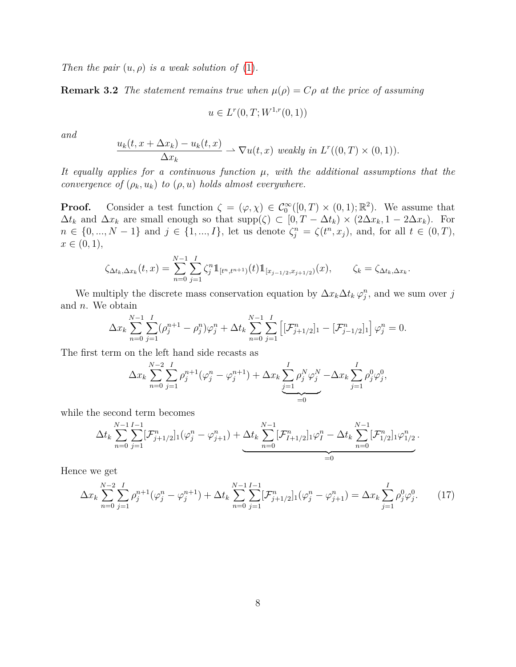*Then the pair*  $(u, \rho)$  *is a weak solution of*  $(1)$ *.* 

**Remark 3.2** *The statement remains true when*  $\mu(\rho) = C\rho$  *at the price of assuming* 

$$
u \in L^r(0, T; W^{1,r}(0, 1))
$$

*and*

$$
\frac{u_k(t, x + \Delta x_k) - u_k(t, x)}{\Delta x_k} \to \nabla u(t, x) \text{ weakly in } L^r((0, T) \times (0, 1)).
$$

*It equally applies for a continuous function µ, with the additional assumptions that the convergence of*  $(\rho_k, u_k)$  *to*  $(\rho, u)$  *holds almost everywhere.* 

**Proof.** Consider a test function  $\zeta = (\varphi, \chi) \in C_0^{\infty}([0, T) \times (0, 1); \mathbb{R}^2)$ . We assume that  $\Delta t_k$  and  $\Delta x_k$  are small enough so that  $\text{supp}(\zeta) \subset [0, T - \Delta t_k) \times (2\Delta x_k, 1 - 2\Delta x_k)$ . For  $n \in \{0, ..., N-1\}$  and  $j \in \{1, ..., I\}$ , let us denote  $\zeta_j^n = \zeta(t^n, x_j)$ , and, for all  $t \in (0, T)$ ,  $x \in (0,1),$ 

$$
\zeta_{\Delta t_k, \Delta x_k}(t, x) = \sum_{n=0}^{N-1} \sum_{j=1}^I \zeta_j^n \mathbb{1}_{[t^n, t^{n+1})}(t) \mathbb{1}_{[x_{j-1/2}, x_{j+1/2})}(x), \qquad \zeta_k = \zeta_{\Delta t_k, \Delta x_k}.
$$

We multiply the discrete mass conservation equation by  $\Delta x_k \Delta t_k \varphi_j^n$ , and we sum over *j* and *n*. We obtain

$$
\Delta x_k \sum_{n=0}^{N-1} \sum_{j=1}^I (\rho_j^{n+1} - \rho_j^n) \varphi_j^n + \Delta t_k \sum_{n=0}^{N-1} \sum_{j=1}^I \left[ [\mathcal{F}_{j+1/2}^n]_1 - [\mathcal{F}_{j-1/2}^n]_1 \right] \varphi_j^n = 0.
$$

The first term on the left hand side recasts as

$$
\Delta x_k \sum_{n=0}^{N-2} \sum_{j=1}^{I} \rho_j^{n+1} (\varphi_j^n - \varphi_j^{n+1}) + \Delta x_k \underbrace{\sum_{j=1}^{I} \rho_j^N \varphi_j^N}_{=0} - \Delta x_k \sum_{j=1}^{I} \rho_j^0 \varphi_j^0,
$$

while the second term becomes

$$
\Delta t_k \sum_{n=0}^{N-1} \sum_{j=1}^{I-1} [\mathcal{F}_{j+1/2}^n]_1(\varphi_j^n - \varphi_{j+1}^n) + \underbrace{\Delta t_k \sum_{n=0}^{N-1} [\mathcal{F}_{I+1/2}^n]_1 \varphi_I^n - \Delta t_k \sum_{n=0}^{N-1} [\mathcal{F}_{1/2}^n]_1 \varphi_{1/2}^n}_{=0}.
$$

Hence we get

$$
\Delta x_k \sum_{n=0}^{N-2} \sum_{j=1}^I \rho_j^{n+1} (\varphi_j^n - \varphi_j^{n+1}) + \Delta t_k \sum_{n=0}^{N-1} \sum_{j=1}^{I-1} [\mathcal{F}_{j+1/2}^n]_1 (\varphi_j^n - \varphi_{j+1}^n) = \Delta x_k \sum_{j=1}^I \rho_j^0 \varphi_j^0. \tag{17}
$$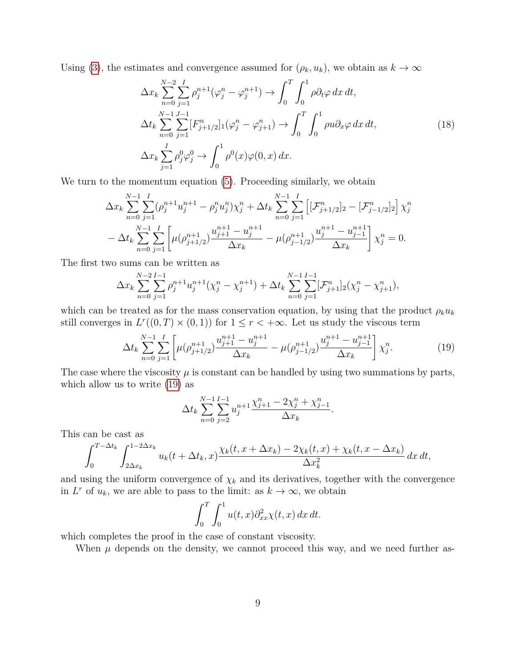Using [\(3\)](#page-2-0), the estimates and convergence assumed for  $(\rho_k, u_k)$ , we obtain as  $k \to \infty$ 

$$
\Delta x_k \sum_{n=0}^{N-2} \sum_{j=1}^{I} \rho_j^{n+1} (\varphi_j^n - \varphi_j^{n+1}) \to \int_0^T \int_0^1 \rho \partial_t \varphi \, dx \, dt,
$$
  
\n
$$
\Delta t_k \sum_{n=0}^{N-1} \sum_{j=1}^{J-1} [F_{j+1/2}^n]_1 (\varphi_j^n - \varphi_{j+1}^n) \to \int_0^T \int_0^1 \rho u \partial_x \varphi \, dx \, dt,
$$
  
\n
$$
\Delta x_k \sum_{j=1}^{I} \rho_j^0 \varphi_j^0 \to \int_0^1 \rho^0(x) \varphi(0, x) \, dx.
$$
\n(18)

We turn to the momentum equation  $(5)$ . Proceeding similarly, we obtain

$$
\Delta x_k \sum_{n=0}^{N-1} \sum_{j=1}^I (\rho_j^{n+1} u_j^{n+1} - \rho_j^n u_j^n) \chi_j^n + \Delta t_k \sum_{n=0}^{N-1} \sum_{j=1}^I \left[ [\mathcal{F}_{j+1/2}^n]_2 - [\mathcal{F}_{j-1/2}^n]_2 \right] \chi_j^n
$$
  

$$
- \Delta t_k \sum_{n=0}^{N-1} \sum_{j=1}^I \left[ \mu(\rho_{j+1/2}^{n+1}) \frac{u_{j+1}^{n+1} - u_j^{n+1}}{\Delta x_k} - \mu(\rho_{j-1/2}^{n+1}) \frac{u_j^{n+1} - u_{j-1}^{n+1}}{\Delta x_k} \right] \chi_j^n = 0.
$$

The first two sums can be written as

$$
\Delta x_k \sum_{n=0}^{N-2} \sum_{j=1}^{I-1} \rho_j^{n+1} u_j^{n+1} (\chi_j^n - \chi_j^{n+1}) + \Delta t_k \sum_{n=0}^{N-1} \sum_{j=1}^{I-1} [\mathcal{F}_{j+1}^n]_2 (\chi_j^n - \chi_{j+1}^n),
$$

which can be treated as for the mass conservation equation, by using that the product  $\rho_k u_k$ still converges in  $L^r((0,T) \times (0,1))$  for  $1 \leq r < +\infty$ . Let us study the viscous term

<span id="page-8-0"></span>
$$
\Delta t_k \sum_{n=0}^{N-1} \sum_{j=1}^{I} \left[ \mu(\rho_{j+1/2}^{n+1}) \frac{u_{j+1}^{n+1} - u_j^{n+1}}{\Delta x_k} - \mu(\rho_{j-1/2}^{n+1}) \frac{u_j^{n+1} - u_{j-1}^{n+1}}{\Delta x_k} \right] \chi_j^n. \tag{19}
$$

The case where the viscosity  $\mu$  is constant can be handled by using two summations by parts, which allow us to write [\(19\)](#page-8-0) as

$$
\Delta t_k \sum_{n=0}^{N-1} \sum_{j=2}^{I-1} u_j^{n+1} \frac{\chi_{j+1}^n - 2\chi_j^n + \chi_{j-1}^n}{\Delta x_k}.
$$

This can be cast as

$$
\int_0^{T-\Delta t_k} \int_{2\Delta x_k}^{1-2\Delta x_k} u_k(t+\Delta t_k,x) \frac{\chi_k(t,x+\Delta x_k) - 2\chi_k(t,x) + \chi_k(t,x-\Delta x_k)}{\Delta x_k^2} dx dt,
$$

and using the uniform convergence of  $\chi_k$  and its derivatives, together with the convergence in  $L^r$  of  $u_k$ , we are able to pass to the limit: as  $k \to \infty$ , we obtain

$$
\int_0^T \int_0^1 u(t,x) \partial_{xx}^2 \chi(t,x) \, dx \, dt.
$$

which completes the proof in the case of constant viscosity.

When  $\mu$  depends on the density, we cannot proceed this way, and we need further as-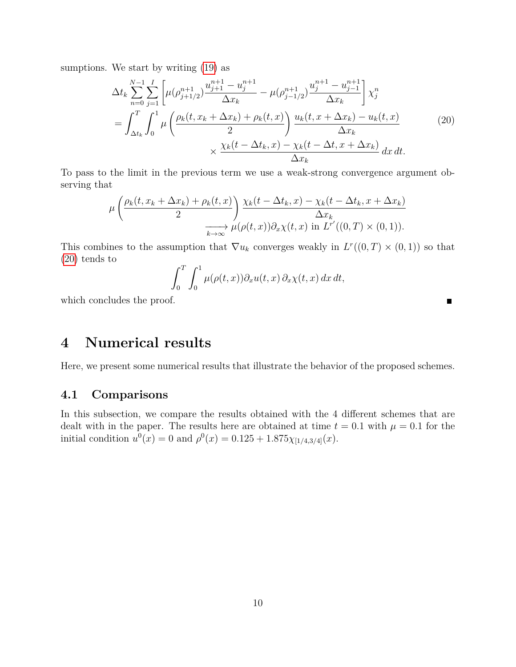sumptions. We start by writing  $(19)$  as

<span id="page-9-1"></span>
$$
\Delta t_k \sum_{n=0}^{N-1} \sum_{j=1}^{I} \left[ \mu(\rho_{j+1/2}^{n+1}) \frac{u_{j+1}^{n+1} - u_j^{n+1}}{\Delta x_k} - \mu(\rho_{j-1/2}^{n+1}) \frac{u_j^{n+1} - u_{j-1}^{n+1}}{\Delta x_k} \right] \chi_j^n
$$
  
= 
$$
\int_{\Delta t_k}^{T} \int_0^1 \mu \left( \frac{\rho_k(t, x_k + \Delta x_k) + \rho_k(t, x)}{2} \right) \frac{u_k(t, x + \Delta x_k) - u_k(t, x)}{\Delta x_k}
$$
  

$$
\times \frac{\chi_k(t - \Delta t_k, x) - \chi_k(t - \Delta t, x + \Delta x_k)}{\Delta x_k} dx dt.
$$
 (20)

To pass to the limit in the previous term we use a weak-strong convergence argument observing that

$$
\mu\left(\frac{\rho_k(t, x_k + \Delta x_k) + \rho_k(t, x)}{2}\right) \frac{\chi_k(t - \Delta t_k, x) - \chi_k(t - \Delta t_k, x + \Delta x_k)}{\Delta x_k}
$$

$$
\xrightarrow[k \to \infty]{} \mu(\rho(t, x)) \partial_x \chi(t, x) \text{ in } L^{r'}((0, T) \times (0, 1)).
$$

This combines to the assumption that  $\nabla u_k$  converges weakly in  $L^r((0,T) \times (0,1))$  so that [\(20\)](#page-9-1) tends to

$$
\int_0^T \int_0^1 \mu(\rho(t,x)) \partial_x u(t,x) \, \partial_x \chi(t,x) \, dx \, dt,
$$

 $\blacksquare$ 

which concludes the proof.

# <span id="page-9-0"></span>**4 Numerical results**

Here, we present some numerical results that illustrate the behavior of the proposed schemes.

#### **4.1 Comparisons**

In this subsection, we compare the results obtained with the 4 different schemes that are dealt with in the paper. The results here are obtained at time  $t = 0.1$  with  $\mu = 0.1$  for the initial condition  $u^0(x) = 0$  and  $\rho^0(x) = 0.125 + 1.875 \chi_{[1/4,3/4]}(x)$ .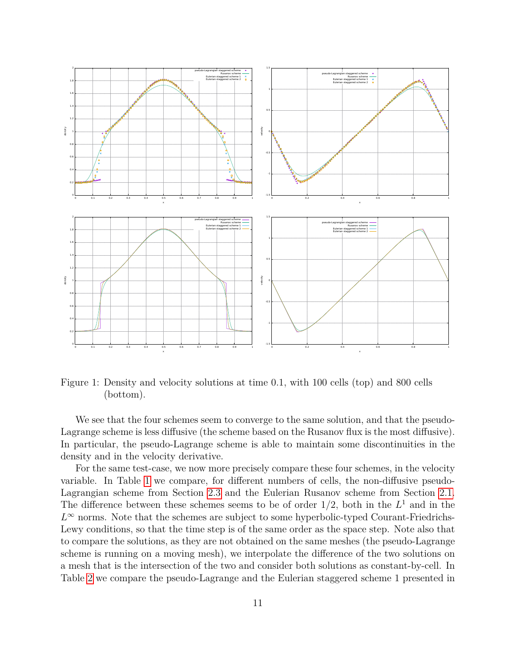

Figure 1: Density and velocity solutions at time 0*.*1, with 100 cells (top) and 800 cells (bottom).

We see that the four schemes seem to converge to the same solution, and that the pseudo-Lagrange scheme is less diffusive (the scheme based on the Rusanov flux is the most diffusive). In particular, the pseudo-Lagrange scheme is able to maintain some discontinuities in the density and in the velocity derivative.

For the same test-case, we now more precisely compare these four schemes, in the velocity variable. In Table [1](#page-11-0) we compare, for different numbers of cells, the non-diffusive pseudo-Lagrangian scheme from Section [2.3](#page-4-1) and the Eulerian Rusanov scheme from Section [2.1.](#page-1-1) The difference between these schemes seems to be of order  $1/2$ , both in the  $L<sup>1</sup>$  and in the  $L^{\infty}$  norms. Note that the schemes are subject to some hyperbolic-typed Courant-Friedrichs-Lewy conditions, so that the time step is of the same order as the space step. Note also that to compare the solutions, as they are not obtained on the same meshes (the pseudo-Lagrange scheme is running on a moving mesh), we interpolate the difference of the two solutions on a mesh that is the intersection of the two and consider both solutions as constant-by-cell. In Table [2](#page-11-1) we compare the pseudo-Lagrange and the Eulerian staggered scheme 1 presented in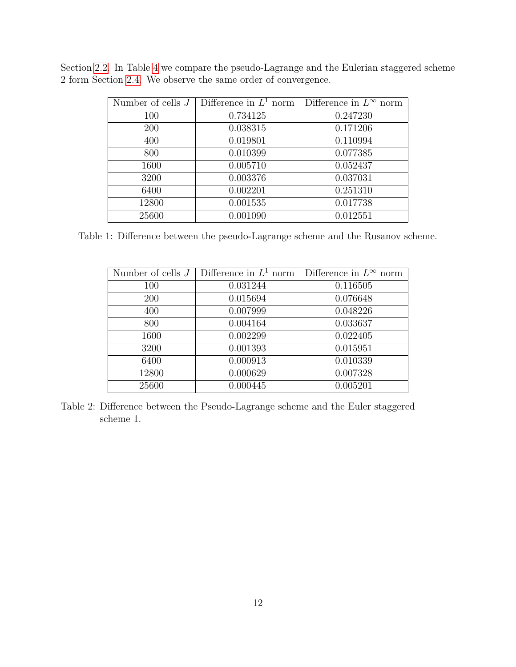| Number of cells $J$ | Difference in $L^1$ norm | Difference in $L^{\infty}$ norm |
|---------------------|--------------------------|---------------------------------|
| 100                 | 0.734125                 | 0.247230                        |
| 200                 | 0.038315                 | 0.171206                        |
| 400                 | 0.019801                 | 0.110994                        |
| 800                 | 0.010399                 | 0.077385                        |
| 1600                | 0.005710                 | 0.052437                        |
| 3200                | 0.003376                 | 0.037031                        |
| 6400                | 0.002201                 | 0.251310                        |
| 12800               | 0.001535                 | 0.017738                        |
| 25600               | 0.001090                 | 0.012551                        |

<span id="page-11-0"></span>Section [2.2.](#page-3-3) In Table [4](#page-13-1) we compare the pseudo-Lagrange and the Eulerian staggered scheme 2 form Section [2.4.](#page-5-0) We observe the same order of convergence.

<span id="page-11-1"></span>Table 1: Difference between the pseudo-Lagrange scheme and the Rusanov scheme.

| Number of cells $J$ | Difference in $L^1$ norm | Difference in $L^{\infty}$ norm |
|---------------------|--------------------------|---------------------------------|
| 100                 | 0.031244                 | 0.116505                        |
| 200                 | 0.015694                 | 0.076648                        |
| 400                 | 0.007999                 | 0.048226                        |
| 800                 | 0.004164                 | 0.033637                        |
| 1600                | 0.002299                 | 0.022405                        |
| 3200                | 0.001393                 | 0.015951                        |
| 6400                | 0.000913                 | 0.010339                        |
| 12800               | 0.000629                 | 0.007328                        |
| 25600               | 0.000445                 | 0.005201                        |

Table 2: Difference between the Pseudo-Lagrange scheme and the Euler staggered scheme 1.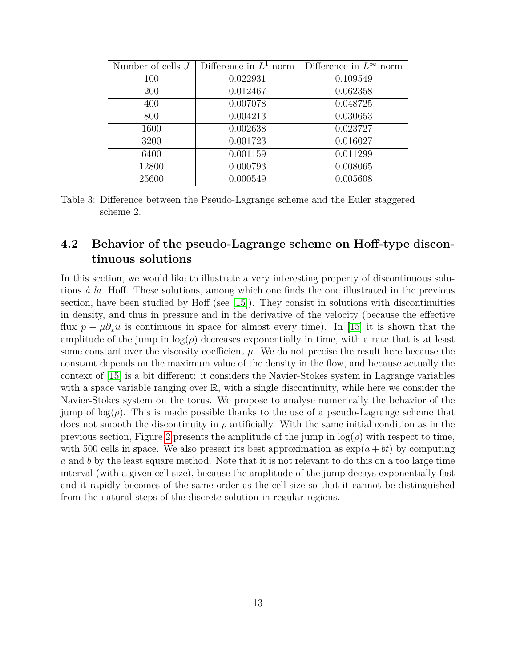| Number of cells $J$ | Difference in $L^1$ norm | Difference in $L^{\infty}$ norm |
|---------------------|--------------------------|---------------------------------|
| 100                 | 0.022931                 | 0.109549                        |
| 200                 | 0.012467                 | 0.062358                        |
| 400                 | 0.007078                 | 0.048725                        |
| 800                 | 0.004213                 | 0.030653                        |
| 1600                | 0.002638                 | 0.023727                        |
| 3200                | 0.001723                 | 0.016027                        |
| 6400                | 0.001159                 | 0.011299                        |
| 12800               | 0.000793                 | 0.008065                        |
| 25600               | 0.000549                 | 0.005608                        |

Table 3: Difference between the Pseudo-Lagrange scheme and the Euler staggered scheme 2.

### **4.2 Behavior of the pseudo-Lagrange scheme on Hoff-type discontinuous solutions**

In this section, we would like to illustrate a very interesting property of discontinuous solutions *à la* Hoff. These solutions, among which one finds the one illustrated in the previous section, have been studied by Hoff (see [\[15\]](#page-15-0)). They consist in solutions with discontinuities in density, and thus in pressure and in the derivative of the velocity (because the effective flux  $p - \mu \partial_x u$  is continuous in space for almost every time). In [\[15\]](#page-15-0) it is shown that the amplitude of the jump in  $log(\rho)$  decreases exponentially in time, with a rate that is at least some constant over the viscosity coefficient  $\mu$ . We do not precise the result here because the constant depends on the maximum value of the density in the flow, and because actually the context of [\[15\]](#page-15-0) is a bit different: it considers the Navier-Stokes system in Lagrange variables with a space variable ranging over  $\mathbb{R}$ , with a single discontinuity, while here we consider the Navier-Stokes system on the torus. We propose to analyse numerically the behavior of the jump of  $log(\rho)$ . This is made possible thanks to the use of a pseudo-Lagrange scheme that does not smooth the discontinuity in *ρ* artificially. With the same initial condition as in the previous section, Figure [2](#page-13-2) presents the amplitude of the jump in  $log(\rho)$  with respect to time, with 500 cells in space. We also present its best approximation as  $\exp(a + bt)$  by computing *a* and *b* by the least square method. Note that it is not relevant to do this on a too large time interval (with a given cell size), because the amplitude of the jump decays exponentially fast and it rapidly becomes of the same order as the cell size so that it cannot be distinguished from the natural steps of the discrete solution in regular regions.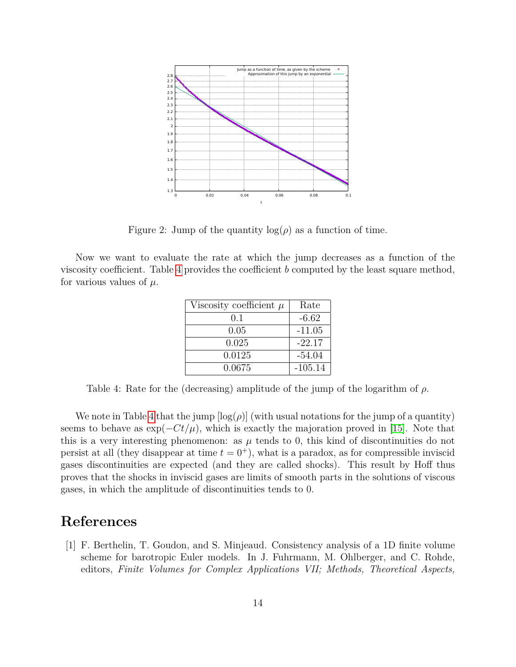<span id="page-13-2"></span>

Figure 2: Jump of the quantity  $log(\rho)$  as a function of time.

<span id="page-13-1"></span>Now we want to evaluate the rate at which the jump decreases as a function of the viscosity coefficient. Table [4](#page-13-1) provides the coefficient *b* computed by the least square method, for various values of  $\mu$ .

| Viscosity coefficient $\mu$ | Rate      |
|-----------------------------|-----------|
| 0.1                         | $-6.62$   |
| 0.05                        | $-11.05$  |
| 0.025                       | $-22.17$  |
| 0.0125                      | $-54.04$  |
| 0.0675                      | $-105.14$ |

Table 4: Rate for the (decreasing) amplitude of the jump of the logarithm of *ρ*.

We note in Table [4](#page-13-1) that the jump  $\lceil \log(\rho) \rceil$  (with usual notations for the jump of a quantity) seems to behave as  $\exp(-Ct/\mu)$ , which is exactly the majoration proved in [\[15\]](#page-15-0). Note that this is a very interesting phenomenon: as  $\mu$  tends to 0, this kind of discontinuities do not persist at all (they disappear at time  $t = 0^+$ ), what is a paradox, as for compressible inviscid gases discontinuities are expected (and they are called shocks). This result by Hoff thus proves that the shocks in inviscid gases are limits of smooth parts in the solutions of viscous gases, in which the amplitude of discontinuities tends to 0.

# **References**

<span id="page-13-0"></span>[1] F. Berthelin, T. Goudon, and S. Minjeaud. Consistency analysis of a 1D finite volume scheme for barotropic Euler models. In J. Fuhrmann, M. Ohlberger, and C. Rohde, editors, *Finite Volumes for Complex Applications VII; Methods, Theoretical Aspects,*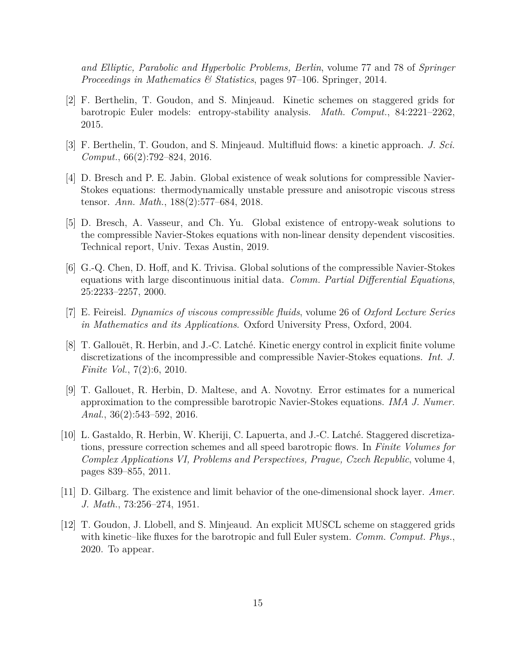*and Elliptic, Parabolic and Hyperbolic Problems, Berlin*, volume 77 and 78 of *Springer Proceedings in Mathematics & Statistics*, pages 97–106. Springer, 2014.

- <span id="page-14-7"></span>[2] F. Berthelin, T. Goudon, and S. Minjeaud. Kinetic schemes on staggered grids for barotropic Euler models: entropy-stability analysis. *Math. Comput.*, 84:2221–2262, 2015.
- <span id="page-14-8"></span>[3] F. Berthelin, T. Goudon, and S. Minjeaud. Multifluid flows: a kinetic approach. *J. Sci. Comput.*, 66(2):792–824, 2016.
- <span id="page-14-3"></span>[4] D. Bresch and P. E. Jabin. Global existence of weak solutions for compressible Navier-Stokes equations: thermodynamically unstable pressure and anisotropic viscous stress tensor. *Ann. Math.*, 188(2):577–684, 2018.
- <span id="page-14-4"></span>[5] D. Bresch, A. Vasseur, and Ch. Yu. Global existence of entropy-weak solutions to the compressible Navier-Stokes equations with non-linear density dependent viscosities. Technical report, Univ. Texas Austin, 2019.
- <span id="page-14-1"></span>[6] G.-Q. Chen, D. Hoff, and K. Trivisa. Global solutions of the compressible Navier-Stokes equations with large discontinuous initial data. *Comm. Partial Differential Equations*, 25:2233–2257, 2000.
- <span id="page-14-2"></span>[7] E. Feireisl. *Dynamics of viscous compressible fluids*, volume 26 of *Oxford Lecture Series in Mathematics and its Applications*. Oxford University Press, Oxford, 2004.
- <span id="page-14-5"></span>[8] T. Gallouët, R. Herbin, and J.-C. Latché. Kinetic energy control in explicit finite volume discretizations of the incompressible and compressible Navier-Stokes equations. *Int. J. Finite Vol.*, 7(2):6, 2010.
- <span id="page-14-10"></span>[9] T. Gallouet, R. Herbin, D. Maltese, and A. Novotny. Error estimates for a numerical approximation to the compressible barotropic Navier-Stokes equations. *IMA J. Numer. Anal.*, 36(2):543–592, 2016.
- <span id="page-14-6"></span>[10] L. Gastaldo, R. Herbin, W. Kheriji, C. Lapuerta, and J.-C. Latché. Staggered discretizations, pressure correction schemes and all speed barotropic flows. In *Finite Volumes for Complex Applications VI, Problems and Perspectives, Prague, Czech Republic*, volume 4, pages 839–855, 2011.
- <span id="page-14-0"></span>[11] D. Gilbarg. The existence and limit behavior of the one-dimensional shock layer. *Amer. J. Math.*, 73:256–274, 1951.
- <span id="page-14-9"></span>[12] T. Goudon, J. Llobell, and S. Minjeaud. An explicit MUSCL scheme on staggered grids with kinetic–like fluxes for the barotropic and full Euler system. *Comm. Comput. Phys.*, 2020. To appear.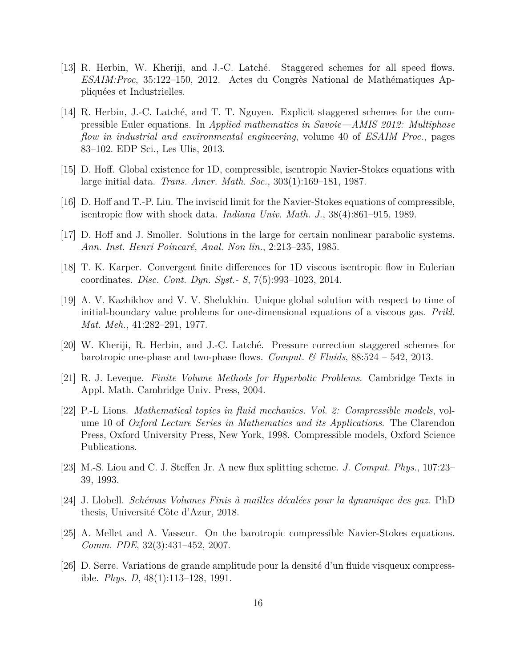- <span id="page-15-7"></span>[13] R. Herbin, W. Kheriji, and J.-C. Latché. Staggered schemes for all speed flows. *ESAIM:Proc*, 35:122–150, 2012. Actes du Congrès National de Mathématiques Appliquées et Industrielles.
- <span id="page-15-8"></span>[14] R. Herbin, J.-C. Latché, and T. T. Nguyen. Explicit staggered schemes for the compressible Euler equations. In *Applied mathematics in Savoie—AMIS 2012: Multiphase flow in industrial and environmental engineering*, volume 40 of *ESAIM Proc.*, pages 83–102. EDP Sci., Les Ulis, 2013.
- <span id="page-15-0"></span>[15] D. Hoff. Global existence for 1D, compressible, isentropic Navier-Stokes equations with large initial data. *Trans. Amer. Math. Soc.*, 303(1):169–181, 1987.
- <span id="page-15-3"></span>[16] D. Hoff and T.-P. Liu. The inviscid limit for the Navier-Stokes equations of compressible, isentropic flow with shock data. *Indiana Univ. Math. J.*, 38(4):861–915, 1989.
- <span id="page-15-1"></span>[17] D. Hoff and J. Smoller. Solutions in the large for certain nonlinear parabolic systems. *Ann. Inst. Henri Poincaré, Anal. Non lin.*, 2:213–235, 1985.
- <span id="page-15-11"></span>[18] T. K. Karper. Convergent finite differences for 1D viscous isentropic flow in Eulerian coordinates. *Disc. Cont. Dyn. Syst.- S*, 7(5):993–1023, 2014.
- <span id="page-15-4"></span>[19] A. V. Kazhikhov and V. V. Shelukhin. Unique global solution with respect to time of initial-boundary value problems for one-dimensional equations of a viscous gas. *Prikl. Mat. Meh.*, 41:282–291, 1977.
- <span id="page-15-9"></span>[20] W. Kheriji, R. Herbin, and J.-C. Latché. Pressure correction staggered schemes for barotropic one-phase and two-phase flows. *Comput. & Fluids*, 88:524 – 542, 2013.
- <span id="page-15-12"></span>[21] R. J. Leveque. *Finite Volume Methods for Hyperbolic Problems*. Cambridge Texts in Appl. Math. Cambridge Univ. Press, 2004.
- <span id="page-15-5"></span>[22] P.-L Lions. *Mathematical topics in fluid mechanics. Vol. 2: Compressible models*, volume 10 of *Oxford Lecture Series in Mathematics and its Applications*. The Clarendon Press, Oxford University Press, New York, 1998. Compressible models, Oxford Science Publications.
- <span id="page-15-13"></span>[23] M.-S. Liou and C. J. Steffen Jr. A new flux splitting scheme. *J. Comput. Phys.*, 107:23– 39, 1993.
- <span id="page-15-10"></span>[24] J. Llobell. *Schémas Volumes Finis à mailles décalées pour la dynamique des gaz*. PhD thesis, Université Côte d'Azur, 2018.
- <span id="page-15-6"></span>[25] A. Mellet and A. Vasseur. On the barotropic compressible Navier-Stokes equations. *Comm. PDE*, 32(3):431–452, 2007.
- <span id="page-15-2"></span>[26] D. Serre. Variations de grande amplitude pour la densité d'un fluide visqueux compressible. *Phys. D*, 48(1):113–128, 1991.